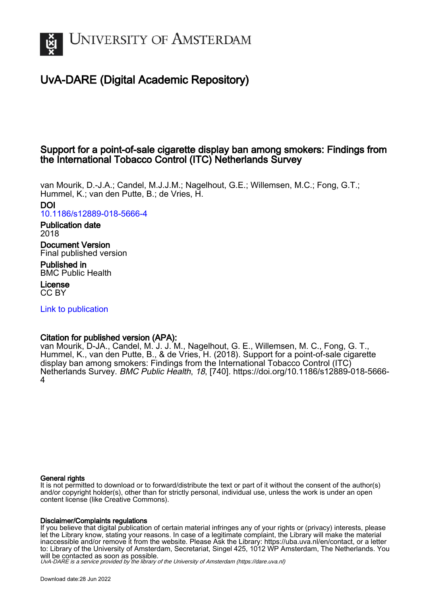

# UvA-DARE (Digital Academic Repository)

## Support for a point-of-sale cigarette display ban among smokers: Findings from the International Tobacco Control (ITC) Netherlands Survey

van Mourik, D.-J.A.; Candel, M.J.J.M.; Nagelhout, G.E.; Willemsen, M.C.; Fong, G.T.; Hummel, K.; van den Putte, B.; de Vries, H. DOI [10.1186/s12889-018-5666-4](https://doi.org/10.1186/s12889-018-5666-4)

Publication date 2018

Document Version Final published version

Published in BMC Public Health

License CC BY

[Link to publication](https://dare.uva.nl/personal/pure/en/publications/support-for-a-pointofsale-cigarette-display-ban-among-smokers-findings-from-the-international-tobacco-control-itc-netherlands-survey(868878f5-af78-4e9f-af48-8f9507fd8181).html)

### Citation for published version (APA):

van Mourik, D-JA., Candel, M. J. J. M., Nagelhout, G. E., Willemsen, M. C., Fong, G. T., Hummel, K., van den Putte, B., & de Vries, H. (2018). Support for a point-of-sale cigarette display ban among smokers: Findings from the International Tobacco Control (ITC) Netherlands Survey. BMC Public Health, 18, [740]. [https://doi.org/10.1186/s12889-018-5666-](https://doi.org/10.1186/s12889-018-5666-4) [4](https://doi.org/10.1186/s12889-018-5666-4)

#### General rights

It is not permitted to download or to forward/distribute the text or part of it without the consent of the author(s) and/or copyright holder(s), other than for strictly personal, individual use, unless the work is under an open content license (like Creative Commons).

#### Disclaimer/Complaints regulations

If you believe that digital publication of certain material infringes any of your rights or (privacy) interests, please let the Library know, stating your reasons. In case of a legitimate complaint, the Library will make the material inaccessible and/or remove it from the website. Please Ask the Library: https://uba.uva.nl/en/contact, or a letter to: Library of the University of Amsterdam, Secretariat, Singel 425, 1012 WP Amsterdam, The Netherlands. You will be contacted as soon as possible.

UvA-DARE is a service provided by the library of the University of Amsterdam (http*s*://dare.uva.nl)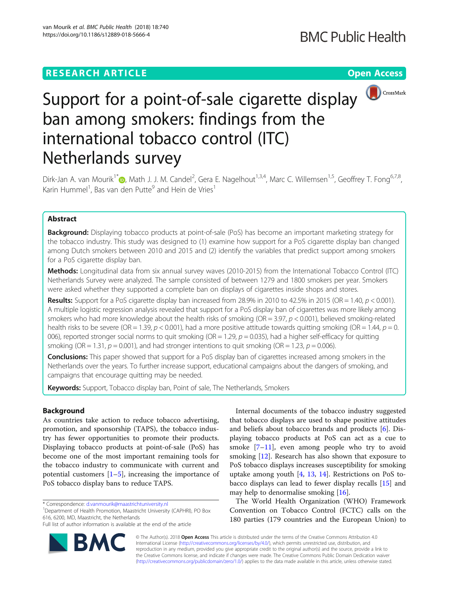# **RESEARCH ARTICLE Example 2018 12:30 THE Open Access**



# Support for a point-of-sale cigarette display ban among smokers: findings from the international tobacco control (ITC) Netherlands survey

Dirk-Jan A. van Mourik<sup>1[\\*](http://orcid.org/0000-0002-6403-0300)</sup>�, Math J. J. M. Candel<sup>2</sup>, Gera E. Nagelhout<sup>1,3,4</sup>, Marc C. Willemsen<sup>1,5</sup>, Geoffrey T. Fong<sup>6,7,8</sup>, Karin Hummel<sup>1</sup>, Bas van den Putte<sup>9</sup> and Hein de Vries<sup>1</sup>

#### Abstract

**Background:** Displaying tobacco products at point-of-sale (PoS) has become an important marketing strategy for the tobacco industry. This study was designed to (1) examine how support for a PoS cigarette display ban changed among Dutch smokers between 2010 and 2015 and (2) identify the variables that predict support among smokers for a PoS cigarette display ban.

Methods: Longitudinal data from six annual survey waves (2010-2015) from the International Tobacco Control (ITC) Netherlands Survey were analyzed. The sample consisted of between 1279 and 1800 smokers per year. Smokers were asked whether they supported a complete ban on displays of cigarettes inside shops and stores.

Results: Support for a PoS cigarette display ban increased from 28.9% in 2010 to 42.5% in 2015 (OR = 1.40,  $p < 0.001$ ). A multiple logistic regression analysis revealed that support for a PoS display ban of cigarettes was more likely among smokers who had more knowledge about the health risks of smoking (OR = 3.97,  $p < 0.001$ ), believed smoking-related health risks to be severe (OR = 1.39,  $p < 0.001$ ), had a more positive attitude towards quitting smoking (OR = 1.44,  $p = 0$ . 006), reported stronger social norms to quit smoking (OR = 1.29,  $p = 0.035$ ), had a higher self-efficacy for quitting smoking (OR = 1.31,  $p = 0.001$ ), and had stronger intentions to quit smoking (OR = 1.23,  $p = 0.006$ ).

Conclusions: This paper showed that support for a PoS display ban of cigarettes increased among smokers in the Netherlands over the years. To further increase support, educational campaigns about the dangers of smoking, and campaigns that encourage quitting may be needed.

Keywords: Support, Tobacco display ban, Point of sale, The Netherlands, Smokers

#### Background

As countries take action to reduce tobacco advertising, promotion, and sponsorship (TAPS), the tobacco industry has fewer opportunities to promote their products. Displaying tobacco products at point-of-sale (PoS) has become one of the most important remaining tools for the tobacco industry to communicate with current and potential customers  $[1–5]$  $[1–5]$  $[1–5]$  $[1–5]$ , increasing the importance of PoS tobacco display bans to reduce TAPS.

Department of Health Promotion, Maastricht University (CAPHRI), PO Box 616, 6200, MD, Maastricht, the Netherlands

Full list of author information is available at the end of the article



Internal documents of the tobacco industry suggested that tobacco displays are used to shape positive attitudes and beliefs about tobacco brands and products [[6](#page-8-0)]. Displaying tobacco products at PoS can act as a cue to smoke [\[7](#page-8-0)–[11\]](#page-8-0), even among people who try to avoid smoking [[12\]](#page-8-0). Research has also shown that exposure to PoS tobacco displays increases susceptibility for smoking uptake among youth  $[4, 13, 14]$  $[4, 13, 14]$  $[4, 13, 14]$  $[4, 13, 14]$  $[4, 13, 14]$ . Restrictions on PoS tobacco displays can lead to fewer display recalls [[15\]](#page-8-0) and may help to denormalise smoking [[16](#page-8-0)].

The World Health Organization (WHO) Framework Convention on Tobacco Control (FCTC) calls on the 180 parties (179 countries and the European Union) to

© The Author(s). 2018 Open Access This article is distributed under the terms of the Creative Commons Attribution 4.0 International License [\(http://creativecommons.org/licenses/by/4.0/](http://creativecommons.org/licenses/by/4.0/)), which permits unrestricted use, distribution, and reproduction in any medium, provided you give appropriate credit to the original author(s) and the source, provide a link to the Creative Commons license, and indicate if changes were made. The Creative Commons Public Domain Dedication waiver [\(http://creativecommons.org/publicdomain/zero/1.0/](http://creativecommons.org/publicdomain/zero/1.0/)) applies to the data made available in this article, unless otherwise stated.

<sup>\*</sup> Correspondence: [d.vanmourik@maastrichtuniversity.nl](mailto:d.vanmourik@maastrichtuniversity.nl) <sup>1</sup>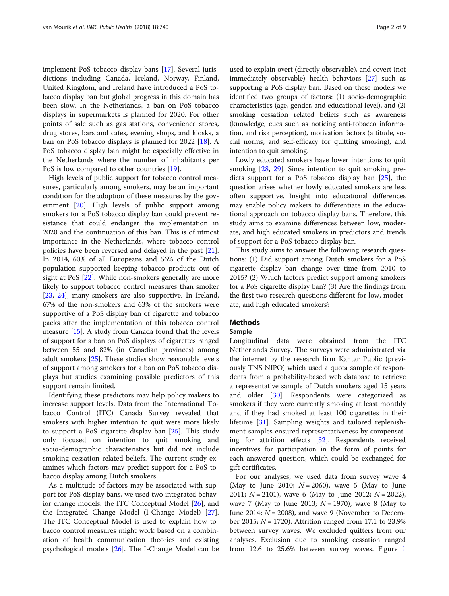implement PoS tobacco display bans [\[17](#page-8-0)]. Several jurisdictions including Canada, Iceland, Norway, Finland, United Kingdom, and Ireland have introduced a PoS tobacco display ban but global progress in this domain has been slow. In the Netherlands, a ban on PoS tobacco displays in supermarkets is planned for 2020. For other points of sale such as gas stations, convenience stores, drug stores, bars and cafes, evening shops, and kiosks, a ban on PoS tobacco displays is planned for 2022 [\[18\]](#page-8-0). A PoS tobacco display ban might be especially effective in the Netherlands where the number of inhabitants per PoS is low compared to other countries [\[19](#page-8-0)].

High levels of public support for tobacco control measures, particularly among smokers, may be an important condition for the adoption of these measures by the government [\[20\]](#page-9-0). High levels of public support among smokers for a PoS tobacco display ban could prevent resistance that could endanger the implementation in 2020 and the continuation of this ban. This is of utmost importance in the Netherlands, where tobacco control policies have been reversed and delayed in the past [\[21](#page-9-0)]. In 2014, 60% of all Europeans and 56% of the Dutch population supported keeping tobacco products out of sight at PoS [[22\]](#page-9-0). While non-smokers generally are more likely to support tobacco control measures than smoker [[23,](#page-9-0) [24\]](#page-9-0), many smokers are also supportive. In Ireland, 67% of the non-smokers and 63% of the smokers were supportive of a PoS display ban of cigarette and tobacco packs after the implementation of this tobacco control measure [\[15\]](#page-8-0). A study from Canada found that the levels of support for a ban on PoS displays of cigarettes ranged between 55 and 82% (in Canadian provinces) among adult smokers [[25](#page-9-0)]. These studies show reasonable levels of support among smokers for a ban on PoS tobacco displays but studies examining possible predictors of this support remain limited.

Identifying these predictors may help policy makers to increase support levels. Data from the International Tobacco Control (ITC) Canada Survey revealed that smokers with higher intention to quit were more likely to support a PoS cigarette display ban [\[25\]](#page-9-0). This study only focused on intention to quit smoking and socio-demographic characteristics but did not include smoking cessation related beliefs. The current study examines which factors may predict support for a PoS tobacco display among Dutch smokers.

As a multitude of factors may be associated with support for PoS display bans, we used two integrated behavior change models: the ITC Conceptual Model [\[26\]](#page-9-0), and the Integrated Change Model (I-Change Model) [\[27](#page-9-0)]. The ITC Conceptual Model is used to explain how tobacco control measures might work based on a combination of health communication theories and existing psychological models [[26](#page-9-0)]. The I-Change Model can be

used to explain overt (directly observable), and covert (not immediately observable) health behaviors [[27](#page-9-0)] such as supporting a PoS display ban. Based on these models we identified two groups of factors: (1) socio-demographic characteristics (age, gender, and educational level), and (2) smoking cessation related beliefs such as awareness (knowledge, cues such as noticing anti-tobacco information, and risk perception), motivation factors (attitude, social norms, and self-efficacy for quitting smoking), and intention to quit smoking.

Lowly educated smokers have lower intentions to quit smoking [[28,](#page-9-0) [29\]](#page-9-0). Since intention to quit smoking predicts support for a PoS tobacco display ban [\[25](#page-9-0)], the question arises whether lowly educated smokers are less often supportive. Insight into educational differences may enable policy makers to differentiate in the educational approach on tobacco display bans. Therefore, this study aims to examine differences between low, moderate, and high educated smokers in predictors and trends of support for a PoS tobacco display ban.

This study aims to answer the following research questions: (1) Did support among Dutch smokers for a PoS cigarette display ban change over time from 2010 to 2015? (2) Which factors predict support among smokers for a PoS cigarette display ban? (3) Are the findings from the first two research questions different for low, moderate, and high educated smokers?

#### **Methods**

#### Sample

Longitudinal data were obtained from the ITC Netherlands Survey. The surveys were administrated via the internet by the research firm Kantar Public (previously TNS NIPO) which used a quota sample of respondents from a probability-based web database to retrieve a representative sample of Dutch smokers aged 15 years and older [[30\]](#page-9-0). Respondents were categorized as smokers if they were currently smoking at least monthly and if they had smoked at least 100 cigarettes in their lifetime [\[31](#page-9-0)]. Sampling weights and tailored replenishment samples ensured representativeness by compensating for attrition effects [\[32](#page-9-0)]. Respondents received incentives for participation in the form of points for each answered question, which could be exchanged for gift certificates.

For our analyses, we used data from survey wave 4 (May to June 2010;  $N = 2060$ ), wave 5 (May to June 2011;  $N = 2101$ ), wave 6 (May to June 2012;  $N = 2022$ ), wave 7 (May to June 2013;  $N = 1970$ ), wave 8 (May to June 2014;  $N = 2008$ ), and wave 9 (November to December 2015;  $N = 1720$ ). Attrition ranged from 17.1 to 23.9% between survey waves. We excluded quitters from our analyses. Exclusion due to smoking cessation ranged from 12.6 to 25.6% between survey waves. Figure [1](#page-3-0)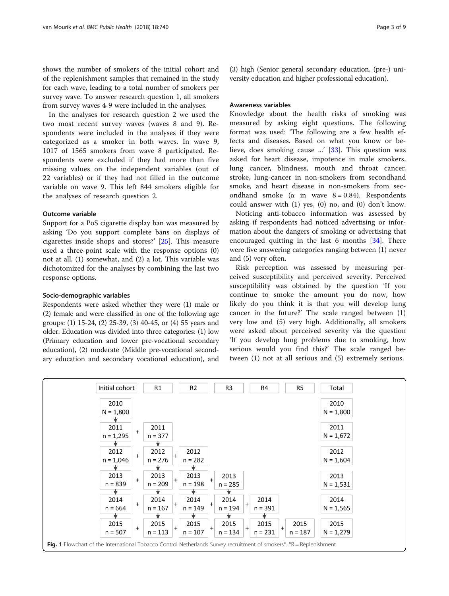<span id="page-3-0"></span>shows the number of smokers of the initial cohort and of the replenishment samples that remained in the study for each wave, leading to a total number of smokers per survey wave. To answer research question 1, all smokers from survey waves 4-9 were included in the analyses.

In the analyses for research question 2 we used the two most recent survey waves (waves 8 and 9). Respondents were included in the analyses if they were categorized as a smoker in both waves. In wave 9, 1017 of 1565 smokers from wave 8 participated. Respondents were excluded if they had more than five missing values on the independent variables (out of 22 variables) or if they had not filled in the outcome variable on wave 9. This left 844 smokers eligible for the analyses of research question 2.

#### Outcome variable

Support for a PoS cigarette display ban was measured by asking 'Do you support complete bans on displays of cigarettes inside shops and stores?' [[25\]](#page-9-0). This measure used a three-point scale with the response options (0) not at all, (1) somewhat, and (2) a lot. This variable was dichotomized for the analyses by combining the last two response options.

#### Socio-demographic variables

Respondents were asked whether they were (1) male or (2) female and were classified in one of the following age groups: (1) 15-24, (2) 25-39, (3) 40-45, or (4) 55 years and older. Education was divided into three categories: (1) low (Primary education and lower pre-vocational secondary education), (2) moderate (Middle pre-vocational secondary education and secondary vocational education), and

(3) high (Senior general secondary education, (pre-) university education and higher professional education).

#### Awareness variables

Knowledge about the health risks of smoking was measured by asking eight questions. The following format was used: 'The following are a few health effects and diseases. Based on what you know or believe, does smoking cause ...' [[33](#page-9-0)]. This question was asked for heart disease, impotence in male smokers, lung cancer, blindness, mouth and throat cancer, stroke, lung-cancer in non-smokers from secondhand smoke, and heart disease in non-smokers from secondhand smoke ( $\alpha$  in wave  $8 = 0.84$ ). Respondents could answer with (1) yes, (0) no, and (0) don't know.

Noticing anti-tobacco information was assessed by asking if respondents had noticed advertising or information about the dangers of smoking or advertising that encouraged quitting in the last 6 months [\[34\]](#page-9-0). There were five answering categories ranging between (1) never and (5) very often.

Risk perception was assessed by measuring perceived susceptibility and perceived severity. Perceived susceptibility was obtained by the question 'If you continue to smoke the amount you do now, how likely do you think it is that you will develop lung cancer in the future?' The scale ranged between (1) very low and (5) very high. Additionally, all smokers were asked about perceived severity via the question 'If you develop lung problems due to smoking, how serious would you find this?' The scale ranged between (1) not at all serious and (5) extremely serious.

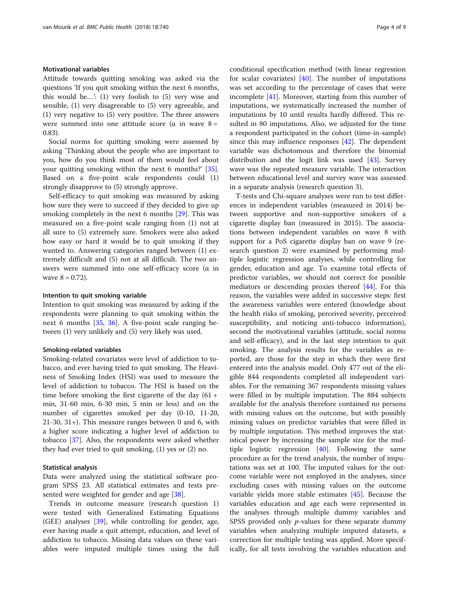#### Motivational variables

Attitude towards quitting smoking was asked via the questions 'If you quit smoking within the next 6 months, this would be…': (1) very foolish to (5) very wise and sensible, (1) very disagreeable to (5) very agreeable, and (1) very negative to (5) very positive. The three answers were summed into one attitude score ( $\alpha$  in wave  $8 =$ 0.83).

Social norms for quitting smoking were assessed by asking 'Thinking about the people who are important to you, how do you think most of them would feel about your quitting smoking within the next 6 months?' [\[35](#page-9-0)]. Based on a five-point scale respondents could (1) strongly disapprove to (5) strongly approve.

Self-efficacy to quit smoking was measured by asking how sure they were to succeed if they decided to give up smoking completely in the next 6 months [[29\]](#page-9-0). This was measured on a five-point scale ranging from (1) not at all sure to (5) extremely sure. Smokers were also asked how easy or hard it would be to quit smoking if they wanted to. Answering categories ranged between (1) extremely difficult and (5) not at all difficult. The two answers were summed into one self-efficacy score ( $\alpha$  in wave  $8 = 0.72$ ).

#### Intention to quit smoking variable

Intention to quit smoking was measured by asking if the respondents were planning to quit smoking within the next 6 months [[35,](#page-9-0) [36](#page-9-0)]. A five-point scale ranging between (1) very unlikely and (5) very likely was used.

#### Smoking-related variables

Smoking-related covariates were level of addiction to tobacco, and ever having tried to quit smoking. The Heaviness of Smoking Index (HSI) was used to measure the level of addiction to tobacco. The HSI is based on the time before smoking the first cigarette of the day  $(61 +$ min, 31-60 min, 6-30 min, 5 min or less) and on the number of cigarettes smoked per day (0-10, 11-20, 21-30, 31+). This measure ranges between 0 and 6, with a higher score indicating a higher level of addiction to tobacco [\[37\]](#page-9-0). Also, the respondents were asked whether they had ever tried to quit smoking, (1) yes or (2) no.

#### Statistical analysis

Data were analyzed using the statistical software program SPSS 23. All statistical estimates and tests pre-sented were weighted for gender and age [[38\]](#page-9-0).

Trends in outcome measure (research question 1) were tested with Generalized Estimating Equations (GEE) analyses [[39](#page-9-0)], while controlling for gender, age, ever having made a quit attempt, education, and level of addiction to tobacco. Missing data values on these variables were imputed multiple times using the full conditional specification method (with linear regression for scalar covariates)  $[40]$ . The number of imputations was set according to the percentage of cases that were incomplete [[41](#page-9-0)]. Moreover, starting from this number of imputations, we systematically increased the number of imputations by 10 until results hardly differed. This resulted in 80 imputations. Also, we adjusted for the time a respondent participated in the cohort (time-in-sample) since this may influence responses [[42](#page-9-0)]. The dependent variable was dichotomous and therefore the binomial distribution and the logit link was used [\[43](#page-9-0)]. Survey wave was the repeated measure variable. The interaction between educational level and survey wave was assessed in a separate analysis (research question 3).

T-tests and Chi-square analyses were run to test differences in independent variables (measured in 2014) between supportive and non-supportive smokers of a cigarette display ban (measured in 2015). The associations between independent variables on wave 8 with support for a PoS cigarette display ban on wave 9 (research question 2) were examined by performing multiple logistic regression analyses, while controlling for gender, education and age. To examine total effects of predictor variables, we should not correct for possible mediators or descending proxies thereof [\[44\]](#page-9-0). For this reason, the variables were added in successive steps: first the awareness variables were entered (knowledge about the health risks of smoking, perceived severity, perceived susceptibility, and noticing anti-tobacco information), second the motivational variables (attitude, social norms and self-efficacy), and in the last step intention to quit smoking. The analysis results for the variables as reported, are those for the step in which they were first entered into the analysis model. Only 477 out of the eligible 844 respondents completed all independent variables. For the remaining 367 respondents missing values were filled in by multiple imputation. The 884 subjects available for the analysis therefore contained no persons with missing values on the outcome, but with possibly missing values on predictor variables that were filled in by multiple imputation. This method improves the statistical power by increasing the sample size for the multiple logistic regression [[40\]](#page-9-0). Following the same procedure as for the trend analysis, the number of imputations was set at 100. The imputed values for the outcome variable were not employed in the analyses, since excluding cases with missing values on the outcome variable yields more stable estimates [[45](#page-9-0)]. Because the variables education and age each were represented in the analyses through multiple dummy variables and SPSS provided only *p*-values for these separate dummy variables when analyzing multiple imputed datasets, a correction for multiple testing was applied. More specifically, for all tests involving the variables education and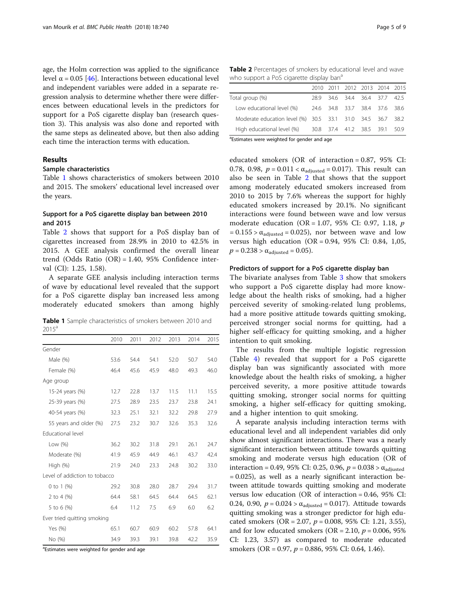age, the Holm correction was applied to the significance level  $\alpha$  = 0.05 [[46\]](#page-9-0). Interactions between educational level and independent variables were added in a separate regression analysis to determine whether there were differences between educational levels in the predictors for support for a PoS cigarette display ban (research question 3). This analysis was also done and reported with the same steps as delineated above, but then also adding each time the interaction terms with education.

#### Results

#### Sample characteristics

Table 1 shows characteristics of smokers between 2010 and 2015. The smokers' educational level increased over the years.

#### Support for a PoS cigarette display ban between 2010 and 2015

Table 2 shows that support for a PoS display ban of cigarettes increased from 28.9% in 2010 to 42.5% in 2015. A GEE analysis confirmed the overall linear trend (Odds Ratio (OR) = 1.40, 95% Confidence interval (CI): 1.25, 1.58).

A separate GEE analysis including interaction terms of wave by educational level revealed that the support for a PoS cigarette display ban increased less among moderately educated smokers than among highly

Table 1 Sample characteristics of smokers between 2010 and  $2015^{\circ}$ 

|                               | 2010 | 2011 | 2012 | 2013 | 2014 | 2015 |
|-------------------------------|------|------|------|------|------|------|
| Gender                        |      |      |      |      |      |      |
| Male (%)                      | 53.6 | 54.4 | 54.1 | 52.0 | 50.7 | 54.0 |
| Female (%)                    | 46.4 | 45.6 | 45.9 | 48.0 | 49.3 | 46.0 |
| Age group                     |      |      |      |      |      |      |
| 15-24 years (%)               | 12.7 | 22.8 | 13.7 | 11.5 | 11.1 | 15.5 |
| 25-39 years (%)               | 27.5 | 28.9 | 23.5 | 23.7 | 23.8 | 24.1 |
| 40-54 years (%)               | 32.3 | 25.1 | 32.1 | 32.2 | 29.8 | 27.9 |
| 55 years and older (%)        | 27.5 | 23.2 | 30.7 | 32.6 | 35.3 | 32.6 |
| Educational level             |      |      |      |      |      |      |
| Low $(\%)$                    | 36.2 | 30.2 | 31.8 | 29.1 | 26.1 | 24.7 |
| Moderate (%)                  | 41.9 | 45.9 | 44.9 | 46.1 | 43.7 | 42.4 |
| High $(\%)$                   | 21.9 | 24.0 | 23.3 | 24.8 | 30.2 | 33.0 |
| Level of addiction to tobacco |      |      |      |      |      |      |
| 0 to 1 $(\%)$                 | 29.2 | 30.8 | 28.0 | 28.7 | 29.4 | 31.7 |
| 2 to 4 $(\%)$                 | 64.4 | 58.1 | 64.5 | 64.4 | 64.5 | 62.1 |
| 5 to 6 (%)                    | 6.4  | 11.2 | 7.5  | 6.9  | 6.0  | 6.2  |
| Ever tried quitting smoking   |      |      |      |      |      |      |
| Yes (%)                       | 65.1 | 60.7 | 60.9 | 60.2 | 57.8 | 64.1 |
| No (%)                        | 34.9 | 39.3 | 39.1 | 39.8 | 42.2 | 35.9 |

<sup>a</sup>Estimates were weighted for gender and age

Table 2 Percentages of smokers by educational level and wave who support a PoS cigarette display ban<sup>a</sup>

|                                                            |  | 2010 2011 2012 2013 2014 2015 |  |     |
|------------------------------------------------------------|--|-------------------------------|--|-----|
| Total group (%)                                            |  | 28.9 34.6 34.4 36.4 37.7 42.5 |  |     |
| Low educational level (%)                                  |  | 24.6 34.8 33.7 38.4 37.6 38.6 |  |     |
| Moderate education level (%) 30.5 33.1 31.0 34.5 36.7 38.2 |  |                               |  |     |
| High educational level (%) 30.8 37.4 41.2 38.5 39.1        |  |                               |  | 509 |
| $- -$                                                      |  |                               |  |     |

<sup>a</sup>Estimates were weighted for gender and age

educated smokers (OR of interaction = 0.87, 95% CI: 0.78, 0.98,  $p = 0.011 < \alpha_{\text{adiusted}} = 0.017$ ). This result can also be seen in Table 2 that shows that the support among moderately educated smokers increased from 2010 to 2015 by 7.6% whereas the support for highly educated smokers increased by 20.1%. No significant interactions were found between wave and low versus moderate education (OR = 1.07, 95% CI: 0.97, 1.18, p  $= 0.155 > \alpha_{\text{adjusted}} = 0.025$ , nor between wave and low versus high education (OR = 0.94, 95% CI: 0.84, 1,05,  $p = 0.238 > \alpha_{\text{adjusted}} = 0.05$ .

#### Predictors of support for a PoS cigarette display ban

The bivariate analyses from Table [3](#page-6-0) show that smokers who support a PoS cigarette display had more knowledge about the health risks of smoking, had a higher perceived severity of smoking-related lung problems, had a more positive attitude towards quitting smoking, perceived stronger social norms for quitting, had a higher self-efficacy for quitting smoking, and a higher intention to quit smoking.

The results from the multiple logistic regression (Table [4\)](#page-7-0) revealed that support for a PoS cigarette display ban was significantly associated with more knowledge about the health risks of smoking, a higher perceived severity, a more positive attitude towards quitting smoking, stronger social norms for quitting smoking, a higher self-efficacy for quitting smoking, and a higher intention to quit smoking.

A separate analysis including interaction terms with educational level and all independent variables did only show almost significant interactions. There was a nearly significant interaction between attitude towards quitting smoking and moderate versus high education (OR of interaction = 0.49, 95% CI: 0.25, 0.96,  $p = 0.038 > \alpha_{\text{adjusted}}$ = 0.025), as well as a nearly significant interaction between attitude towards quitting smoking and moderate versus low education (OR of interaction = 0.46, 95% CI: 0.24, 0.90,  $p = 0.024 > \alpha_{\text{adjusted}} = 0.017$ . Attitude towards quitting smoking was a stronger predictor for high educated smokers (OR = 2.07,  $p = 0.008$ , 95% CI: 1.21, 3.55), and for low educated smokers (OR = 2.10,  $p = 0.006$ , 95% CI: 1.23, 3.57) as compared to moderate educated smokers (OR = 0.97,  $p = 0.886$ , 95% CI: 0.64, 1.46).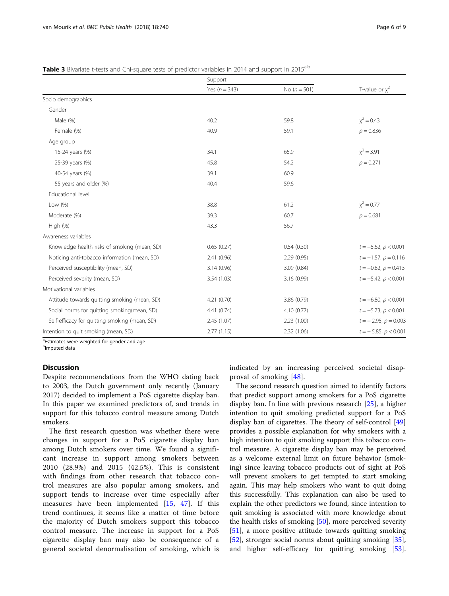|                                               | Support           |                |                           |  |
|-----------------------------------------------|-------------------|----------------|---------------------------|--|
|                                               | Yes ( $n = 343$ ) | No $(n = 501)$ | T-value or $\chi^2$       |  |
| Socio demographics                            |                   |                |                           |  |
| Gender                                        |                   |                |                           |  |
| Male (%)                                      | 40.2              | 59.8           | $x^2 = 0.43$              |  |
| Female (%)                                    | 40.9              | 59.1           | $p = 0.836$               |  |
| Age group                                     |                   |                |                           |  |
| 15-24 years (%)                               | 34.1              | 65.9           | $x^2 = 3.91$              |  |
| 25-39 years (%)                               | 45.8              | 54.2           | $p = 0.271$               |  |
| 40-54 years (%)                               | 39.1              | 60.9           |                           |  |
| 55 years and older (%)                        | 40.4              | 59.6           |                           |  |
| Educational level                             |                   |                |                           |  |
| Low $(\%)$                                    | 38.8              | 61.2           | $x^2 = 0.77$              |  |
| Moderate (%)                                  | 39.3              | 60.7           | $p = 0.681$               |  |
| High (%)                                      | 43.3              | 56.7           |                           |  |
| Awareness variables                           |                   |                |                           |  |
| Knowledge health risks of smoking (mean, SD)  | 0.65(0.27)        | 0.54(0.30)     | $t = -5.62$ , $p < 0.001$ |  |
| Noticing anti-tobacco information (mean, SD)  | 2.41(0.96)        | 2.29(0.95)     | $t = -1.57$ , $p = 0.116$ |  |
| Perceived susceptibility (mean, SD)           | 3.14(0.96)        | 3.09 (0.84)    | $t = -0.82$ , $p = 0.413$ |  |
| Perceived severity (mean, SD)                 | 3.54 (1.03)       | 3.16 (0.99)    | $t = -5.42, p < 0.001$    |  |
| Motivational variables                        |                   |                |                           |  |
| Attitude towards quitting smoking (mean, SD)  | 4.21(0.70)        | 3.86 (0.79)    | $t = -6.80, p < 0.001$    |  |
| Social norms for quitting smoking(mean, SD)   | 4.41(0.74)        | 4.10(0.77)     | $t = -5.73$ , $p < 0.001$ |  |
| Self-efficacy for quitting smoking (mean, SD) | 2.45 (1.07)       | 2.23(1.00)     | $t = -2.95$ , $p = 0.003$ |  |
| Intention to quit smoking (mean, SD)          | 2.77(1.15)        | 2.32 (1.06)    | $t = -5.85, p < 0.001$    |  |

<span id="page-6-0"></span>

|  |  | Table 3 Bivariate t-tests and Chi-square tests of predictor variables in 2014 and support in 2015 <sup>a,b</sup> |
|--|--|------------------------------------------------------------------------------------------------------------------|
|  |  |                                                                                                                  |

<sup>a</sup>Estimates were weighted for gender and age

<sup>b</sup>Imputed data

#### **Discussion**

Despite recommendations from the WHO dating back to 2003, the Dutch government only recently (January 2017) decided to implement a PoS cigarette display ban. In this paper we examined predictors of, and trends in support for this tobacco control measure among Dutch smokers.

The first research question was whether there were changes in support for a PoS cigarette display ban among Dutch smokers over time. We found a significant increase in support among smokers between 2010 (28.9%) and 2015 (42.5%). This is consistent with findings from other research that tobacco control measures are also popular among smokers, and support tends to increase over time especially after measures have been implemented [\[15](#page-8-0), [47\]](#page-9-0). If this trend continues, it seems like a matter of time before the majority of Dutch smokers support this tobacco control measure. The increase in support for a PoS cigarette display ban may also be consequence of a general societal denormalisation of smoking, which is indicated by an increasing perceived societal disapproval of smoking [\[48](#page-9-0)].

The second research question aimed to identify factors that predict support among smokers for a PoS cigarette display ban. In line with previous research [\[25](#page-9-0)], a higher intention to quit smoking predicted support for a PoS display ban of cigarettes. The theory of self-control [[49](#page-9-0)] provides a possible explanation for why smokers with a high intention to quit smoking support this tobacco control measure. A cigarette display ban may be perceived as a welcome external limit on future behavior (smoking) since leaving tobacco products out of sight at PoS will prevent smokers to get tempted to start smoking again. This may help smokers who want to quit doing this successfully. This explanation can also be used to explain the other predictors we found, since intention to quit smoking is associated with more knowledge about the health risks of smoking [[50\]](#page-9-0), more perceived severity [[51\]](#page-9-0), a more positive attitude towards quitting smoking [[52\]](#page-9-0), stronger social norms about quitting smoking [\[35](#page-9-0)], and higher self-efficacy for quitting smoking [\[53](#page-9-0)].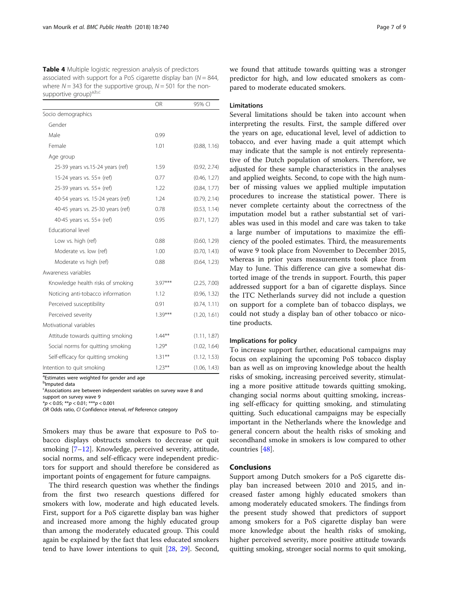<span id="page-7-0"></span>Table 4 Multiple logistic regression analysis of predictors associated with support for a PoS cigarette display ban  $(N = 844)$ . where  $N = 343$  for the supportive group,  $N = 501$  for the nonsupportive group)<sup>a,b,c</sup>

|                                    | <b>OR</b> | 95% CI       |
|------------------------------------|-----------|--------------|
| Socio demographics                 |           |              |
| Gender                             |           |              |
| Male                               | 0.99      |              |
| Female                             | 1.01      | (0.88, 1.16) |
| Age group                          |           |              |
| 25-39 years vs.15-24 years (ref)   | 1.59      | (0.92, 2.74) |
| 15-24 years vs. 55+ (ref)          | 0.77      | (0.46, 1.27) |
| 25-39 years vs. 55+ (ref)          | 1.22      | (0.84, 1.77) |
| 40-54 years vs. 15-24 years (ref)  | 1.24      | (0.79, 2.14) |
| 40-45 years vs. 25-30 years (ref)  | 0.78      | (0.53, 1.14) |
| 40-45 years vs. 55+ (ref)          | 0.95      | (0.71, 1.27) |
| Educational level                  |           |              |
| Low vs. high (ref)                 | 0.88      | (0.60, 1.29) |
| Moderate vs. low (ref)             | 1.00      | (0.70, 1.43) |
| Moderate vs high (ref)             | 0.88      | (0.64, 1.23) |
| Awareness variables                |           |              |
| Knowledge health risks of smoking  | $3.97***$ | (2.25, 7.00) |
| Noticing anti-tobacco information  | 1.12      | (0.96, 1.32) |
| Perceived susceptibility           | 0.91      | (0.74, 1.11) |
| Perceived severity                 | $1.39***$ | (1.20, 1.61) |
| Motivational variables             |           |              |
| Attitude towards quitting smoking  | $1.44***$ | (1.11, 1.87) |
| Social norms for quitting smoking  | $1.29*$   | (1.02, 1.64) |
| Self-efficacy for quitting smoking | $1.31***$ | (1.12, 1.53) |
| Intention to quit smoking          | $1.23***$ | (1.06, 1.43) |

<sup>a</sup>Estimates were weighted for gender and age

<sup>b</sup>lmputed data

<sup>c</sup>Associations are between independent variables on survey wave 8 and

support on survey wave 9

 $*p < 0.05; **p < 0.01; **p < 0.001$ 

OR Odds ratio, CI Confidence interval, ref Reference category

Smokers may thus be aware that exposure to PoS tobacco displays obstructs smokers to decrease or quit smoking [[7](#page-8-0)–[12\]](#page-8-0). Knowledge, perceived severity, attitude, social norms, and self-efficacy were independent predictors for support and should therefore be considered as important points of engagement for future campaigns.

The third research question was whether the findings from the first two research questions differed for smokers with low, moderate and high educated levels. First, support for a PoS cigarette display ban was higher and increased more among the highly educated group than among the moderately educated group. This could again be explained by the fact that less educated smokers tend to have lower intentions to quit [\[28,](#page-9-0) [29](#page-9-0)]. Second,

we found that attitude towards quitting was a stronger predictor for high, and low educated smokers as compared to moderate educated smokers.

#### Limitations

Several limitations should be taken into account when interpreting the results. First, the sample differed over the years on age, educational level, level of addiction to tobacco, and ever having made a quit attempt which may indicate that the sample is not entirely representative of the Dutch population of smokers. Therefore, we adjusted for these sample characteristics in the analyses and applied weights. Second, to cope with the high number of missing values we applied multiple imputation procedures to increase the statistical power. There is never complete certainty about the correctness of the imputation model but a rather substantial set of variables was used in this model and care was taken to take a large number of imputations to maximize the efficiency of the pooled estimates. Third, the measurements of wave 9 took place from November to December 2015, whereas in prior years measurements took place from May to June. This difference can give a somewhat distorted image of the trends in support. Fourth, this paper addressed support for a ban of cigarette displays. Since the ITC Netherlands survey did not include a question on support for a complete ban of tobacco displays, we could not study a display ban of other tobacco or nicotine products.

#### Implications for policy

To increase support further, educational campaigns may focus on explaining the upcoming PoS tobacco display ban as well as on improving knowledge about the health risks of smoking, increasing perceived severity, stimulating a more positive attitude towards quitting smoking, changing social norms about quitting smoking, increasing self-efficacy for quitting smoking, and stimulating quitting. Such educational campaigns may be especially important in the Netherlands where the knowledge and general concern about the health risks of smoking and secondhand smoke in smokers is low compared to other countries [[48](#page-9-0)].

#### Conclusions

Support among Dutch smokers for a PoS cigarette display ban increased between 2010 and 2015, and increased faster among highly educated smokers than among moderately educated smokers. The findings from the present study showed that predictors of support among smokers for a PoS cigarette display ban were more knowledge about the health risks of smoking, higher perceived severity, more positive attitude towards quitting smoking, stronger social norms to quit smoking,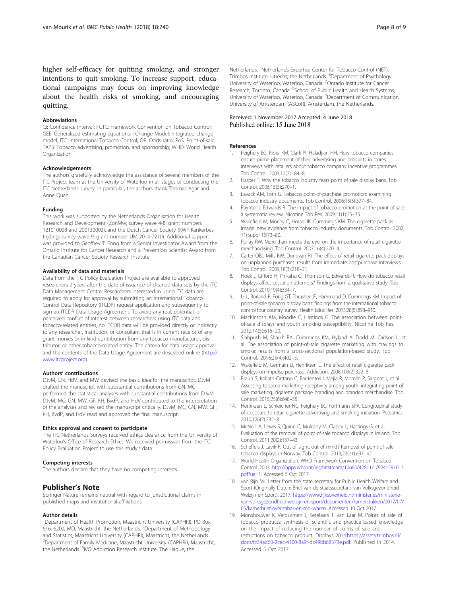<span id="page-8-0"></span>higher self-efficacy for quitting smoking, and stronger intentions to quit smoking. To increase support, educational campaigns may focus on improving knowledge about the health risks of smoking, and encouraging quitting.

#### Abbreviations

CI: Confidence interval; FCTC: Framework Convention on Tobacco Control; GEE: Generalized estimating equations; I-Change Model: Integrated change model; ITC: International Tobacco Control; OR: Odds ratio; PoS: Point-of-sale; TAPS: Tobacco advertising, promotion, and sponsorship; WHO: World Health **Organization** 

#### Acknowledgements

The authors gratefully acknowledge the assistance of several members of the ITC Project team at the University of Waterloo in all stages of conducting the ITC Netherlands survey. In particular, the authors thank Thomas Agar and Anne Quah.

#### Funding

This work was supported by the Netherlands Organisation for Health Research and Development (ZonMw; survey wave 4-8; grant numbers 121010008 and 200130002), and the Dutch Cancer Society (KWF Kankerbestrijding; survey wave 9; grant number UM 2014-7210). Additional support was provided to Geoffrey T. Fong from a Senior Investigator Award from the Ontario Institute for Cancer Research and a Prevention Scientist Award from the Canadian Cancer Society Research Institute.

#### Availability of data and materials

Data from the ITC Policy Evaluation Project are available to approved researchers 2 years after the date of issuance of cleaned data sets by the ITC Data Management Centre. Researchers interested in using ITC data are required to apply for approval by submitting an International Tobacco Control Data Repository (ITCDR) request application and subsequently to sign an ITCDR Data Usage Agreement. To avoid any real, potential, or perceived conflict of interest between researchers using ITC data and tobacco-related entities, no ITCDR data will be provided directly or indirectly to any researcher, institution, or consultant that is in current receipt of any grant monies or in-kind contribution from any tobacco manufacturer, distributor, or other tobacco-related entity. The criteria for data usage approval and the contents of the Data Usage Agreement are described online ([http://](http://www.itcproject.org) [www.itcproject.org\)](http://www.itcproject.org).

#### Authors' contributions

DJvM, GN, HdV, and MW devised the basic idea for the manuscript. DJvM drafted the manuscript with substantial contributions from GN. MC performed the statistical analyses with substantial contributions from DJvM. DJvM, MC, GN, MW, GF, KH, BvdP, and HdV contributed to the interpretation of the analyses and revised the manuscript critically. DJvM, MC, GN, MW, GF, KH, BvdP, and HdV read and approved the final manuscript.

#### Ethics approval and consent to participate

The ITC Netherlands Surveys received ethics clearance from the University of Waterloo's Office of Research Ethics. We received permission from the ITC Policy Evaluation Project to use this study's data.

#### Competing interests

The authors declare that they have no competing interests.

#### Publisher's Note

Springer Nature remains neutral with regard to jurisdictional claims in published maps and institutional affiliations.

#### Author details

<sup>1</sup>Department of Health Promotion, Maastricht University (CAPHRI), PO Box 616, 6200, MD, Maastricht, the Netherlands. <sup>2</sup>Department of Methodology and Statistics, Maastricht University (CAPHRI), Maastricht, the Netherlands. <sup>3</sup>Department of Family Medicine, Maastricht University (CAPHRI), Maastricht, the Netherlands. <sup>4</sup>IVO Addiction Research Institute, The Hague, the

# Received: 1 November 2017 Accepted: 4 June 2018<br>Published online: 15 June 2018

#### References

- 1. Feighery EC, Ribisl KM, Clark PI, Haladjian HH. How tobacco companies ensure prime placement of their advertising and products in stores: interviews with retailers about tobacco company incentive programmes. Tob Control. 2003;12(2):184–8.
- 2. Harper T. Why the tobacco industry fears point of sale display bans. Tob Control. 2006;15(3):270–1.
- 3. Lavack AM, Toth G. Tobacco point-of-purchase promotion: examining tobacco industry documents. Tob Control. 2006;15(5):377–84.
- 4. Paynter J, Edwards R. The impact of tobacco promotion at the point of sale: a systematic review. Nicotine Tob Res. 2009;11(1):25–35.
- 5. Wakefield M, Morley C, Horan JK, Cummings KM. The cigarette pack as image: new evidence from tobacco industry documents. Tob Control. 2002; 11(Suppl 1):i73–80.
- Pollay RW. More than meets the eye: on the importance of retail cigarette merchandising. Tob Control. 2007;16(4):270–4.
- 7. Carter OBJ, Mills BW, Donovan RJ. The effect of retail cigarette pack displays on unplanned purchases: results from immediate postpurchase interviews. Tob Control. 2009;18(3):218–21.
- 8. Hoek J, Gifford H, Pirikahu G, Thomson G, Edwards R. How do tobacco retail displays affect cessation attempts? Findings from a qualitative study. Tob Control. 2010;19(4):334–7.
- 9. Li L, Borland R, Fong GT, Thrasher JF, Hammond D, Cummings KM. Impact of point-of-sale tobacco display bans: findings from the international tobacco control four country survey. Health Educ Res. 2013;28(5):898–910.
- 10. MacKintosh AM, Moodie C, Hastings G. The association between pointof-sale displays and youth smoking susceptibility. Nicotine Tob Res. 2012;14(5):616–20.
- 11. Siahpush M, Shaikh RA, Cummings KM, Hyland A, Dodd M, Carlson L, et al. The association of point-of-sale cigarette marketing with cravings to smoke: results from a cross-sectional population-based study. Tob Control. 2016;25(4):402–5.
- 12. Wakefield M, Germain D, Henriksen L. The effect of retail cigarette pack displays on impulse purchase. Addiction. 2008;103(2):322–8.
- 13. Braun S, Kollath-Cattano C, Barrientos I, Mejía R, Morello P, Sargent J, et al. Assessing tobacco marketing receptivity among youth: integrating point of sale marketing, cigarette package branding and branded merchandise. Tob Control. 2015;25(6):648–55.
- 14. Henriksen L, Schleicher NC, Feighery EC, Fortmann SPA. Longitudinal study of exposure to retail cigarette advertising and smoking initiation. Pediatrics. 2010;126(2):232–8.
- 15. McNeill A, Lewis S, Quinn C, Mulcahy M, Clancy L, Hastings G, et al. Evaluation of the removal of point-of-sale tobacco displays in Ireland. Tob Control. 2011;20(2):137–43.
- 16. Scheffels J, Lavik R. Out of sight, out of mind? Removal of point-of-sale tobacco displays in Norway. Tob Control. 2013;22(e1):e37–42.
- 17. World Health Organization. WHO Framework Convention on Tobacco Control. 2003. [http://apps.who.int/iris/bitstream/10665/42811/1/9241591013.](http://apps.who.int/iris/bitstream/10665/42811/1/9241591013.pdf?ua=1) [pdf?ua=1.](http://apps.who.int/iris/bitstream/10665/42811/1/9241591013.pdf?ua=1) Accessed 5 Oct 2017.
- 18. van Rijn MJ. Letter from the state secretary for Public Health Welfare and Sport (Originally Dutch: Brief van de staatssecretaris van Volksgezondheid Welzijn en Sport). 2017. [https://www.rijksoverheid.nl/ministeries/ministerie](https://www.rijksoverheid.nl/ministeries/ministerie-van-volksgezondheid-welzijn-en-sport/documenten/kamerstukken/2017/07/05/kamerbrief-over-tabak-en-rookwaren)[van-volksgezondheid-welzijn-en-sport/documenten/kamerstukken/2017/07/](https://www.rijksoverheid.nl/ministeries/ministerie-van-volksgezondheid-welzijn-en-sport/documenten/kamerstukken/2017/07/05/kamerbrief-over-tabak-en-rookwaren) [05/kamerbrief-over-tabak-en-rookwaren.](https://www.rijksoverheid.nl/ministeries/ministerie-van-volksgezondheid-welzijn-en-sport/documenten/kamerstukken/2017/07/05/kamerbrief-over-tabak-en-rookwaren) Accessed 10 Oct 2017.
- 19. Monshouwer K, Verdurmen J, Ketelaars T, van Laar M. Points of sale of tobacco products: synthesis of scientific and practice based knowledge on the impact of reducing the number of points of sale and restrictions on tobacco product. Displays 2014.[https://assets.trimbos.nl/](https://assets.trimbos.nl/docs/fc34ad60-2cec-4100-8a9f-dc49bb88373e.pdf) [docs/fc34ad60-2cec-4100-8a9f-dc49bb88373e.pdf.](https://assets.trimbos.nl/docs/fc34ad60-2cec-4100-8a9f-dc49bb88373e.pdf) Published in 2014. Accessed 5 Oct 2017.